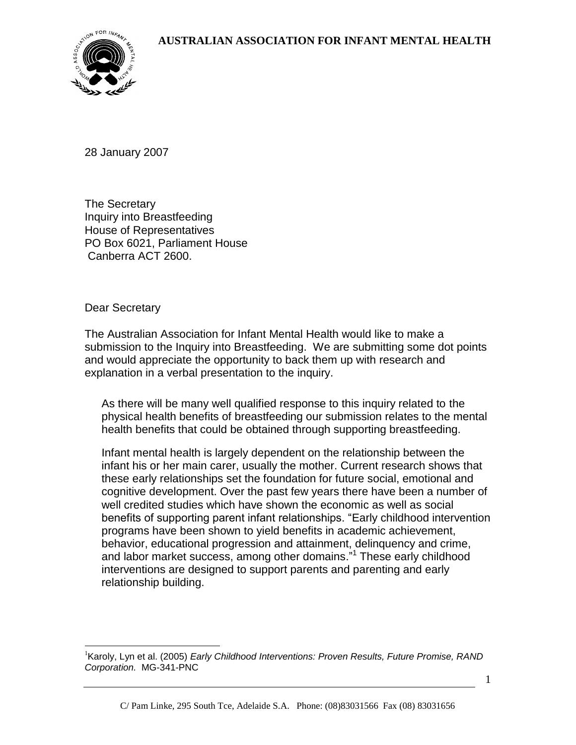

28 January 2007

The Secretary Inquiry into Breastfeeding House of Representatives PO Box 6021, Parliament House Canberra ACT 2600.

Dear Secretary

 $\overline{a}$ 

The Australian Association for Infant Mental Health would like to make a submission to the Inquiry into Breastfeeding. We are submitting some dot points and would appreciate the opportunity to back them up with research and explanation in a verbal presentation to the inquiry.

As there will be many well qualified response to this inquiry related to the physical health benefits of breastfeeding our submission relates to the mental health benefits that could be obtained through supporting breastfeeding.

Infant mental health is largely dependent on the relationship between the infant his or her main carer, usually the mother. Current research shows that these early relationships set the foundation for future social, emotional and cognitive development. Over the past few years there have been a number of well credited studies which have shown the economic as well as social benefits of supporting parent infant relationships. "Early childhood intervention programs have been shown to yield benefits in academic achievement, behavior, educational progression and attainment, delinquency and crime, and labor market success, among other domains."<sup>1</sup> These early childhood interventions are designed to support parents and parenting and early relationship building.

1

<sup>&</sup>lt;sup>1</sup> Karoly, Lyn et al. (2005) *Early Childhood Interventions: Proven Results, Future Promise, RAND Corporation.* MG-341-PNC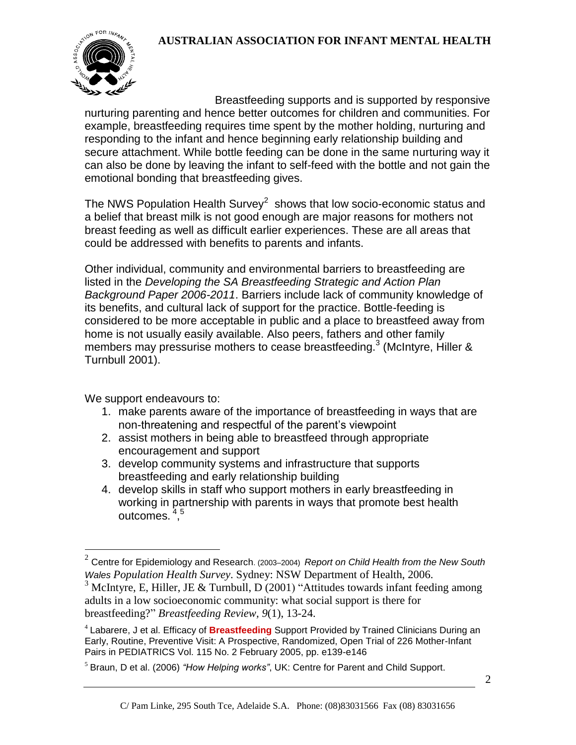## **AUSTRALIAN ASSOCIATION FOR INFANT MENTAL HEALTH**



Breastfeeding supports and is supported by responsive nurturing parenting and hence better outcomes for children and communities. For example, breastfeeding requires time spent by the mother holding, nurturing and responding to the infant and hence beginning early relationship building and secure attachment. While bottle feeding can be done in the same nurturing way it can also be done by leaving the infant to self-feed with the bottle and not gain the emotional bonding that breastfeeding gives.

The NWS Population Health Survey<sup>2</sup> shows that low socio-economic status and a belief that breast milk is not good enough are major reasons for mothers not breast feeding as well as difficult earlier experiences. These are all areas that could be addressed with benefits to parents and infants.

Other individual, community and environmental barriers to breastfeeding are listed in the *Developing the SA Breastfeeding Strategic and Action Plan Background Paper 2006-2011*. Barriers include lack of community knowledge of its benefits, and cultural lack of support for the practice. Bottle-feeding is considered to be more acceptable in public and a place to breastfeed away from home is not usually easily available. Also peers, fathers and other family members may pressurise mothers to cease breastfeeding.<sup>3</sup> (McIntyre, Hiller & Turnbull 2001).

We support endeavours to:

- 1. make parents aware of the importance of breastfeeding in ways that are non-threatening and respectful of the parent's viewpoint
- 2. assist mothers in being able to breastfeed through appropriate encouragement and support
- 3. develop community systems and infrastructure that supports breastfeeding and early relationship building
- 4. develop skills in staff who support mothers in early breastfeeding in working in partnership with parents in ways that promote best health outcomes.<sup>4,5</sup>

 2 Centre for Epidemiology and Research. (2003–2004) *Report on Child Health from the New South Wales Population Health Survey*. Sydney: NSW Department of Health, 2006.

<sup>&</sup>lt;sup>3</sup> McIntyre, E, Hiller, JE & Turnbull, D (2001) "Attitudes towards infant feeding among adults in a low socioeconomic community: what social support is there for breastfeeding?" *Breastfeeding Review, 9*(1), 13-24.

<sup>4</sup> Labarere, J et al. Efficacy of **Breastfeeding** Support Provided by Trained Clinicians During an Early, Routine, Preventive Visit: A Prospective, Randomized, Open Trial of 226 Mother-Infant Pairs in PEDIATRICS Vol. 115 No. 2 February 2005, pp. e139-e146

<sup>5</sup> Braun, D et al. (2006) *"How Helping works"*, UK: Centre for Parent and Child Support.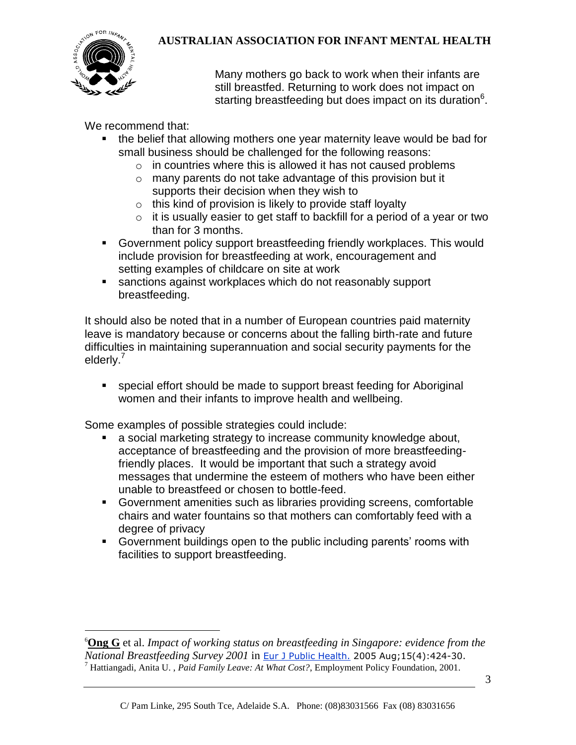

 $\overline{a}$ 

## **AUSTRALIAN ASSOCIATION FOR INFANT MENTAL HEALTH**

Many mothers go back to work when their infants are still breastfed. Returning to work does not impact on starting breastfeeding but does impact on its duration<sup>6</sup>.

We recommend that:

- **the belief that allowing mothers one year maternity leave would be bad for** small business should be challenged for the following reasons:
	- $\circ$  in countries where this is allowed it has not caused problems
	- o many parents do not take advantage of this provision but it supports their decision when they wish to
	- $\circ$  this kind of provision is likely to provide staff loyalty
	- $\circ$  it is usually easier to get staff to backfill for a period of a year or two than for 3 months.
- Government policy support breastfeeding friendly workplaces. This would include provision for breastfeeding at work, encouragement and setting examples of childcare on site at work
- sanctions against workplaces which do not reasonably support breastfeeding.

It should also be noted that in a number of European countries paid maternity leave is mandatory because or concerns about the falling birth-rate and future difficulties in maintaining superannuation and social security payments for the elderly.<sup>7</sup>

 special effort should be made to support breast feeding for Aboriginal women and their infants to improve health and wellbeing.

Some examples of possible strategies could include:

- a social marketing strategy to increase community knowledge about, acceptance of breastfeeding and the provision of more breastfeedingfriendly places. It would be important that such a strategy avoid messages that undermine the esteem of mothers who have been either unable to breastfeed or chosen to bottle-feed.
- Government amenities such as libraries providing screens, comfortable chairs and water fountains so that mothers can comfortably feed with a degree of privacy
- Government buildings open to the public including parents' rooms with facilities to support breastfeeding.

<sup>6</sup>**[Ong G](http://www.ncbi.nlm.nih.gov/entrez/query.fcgi?db=pubmed&cmd=Search&itool=pubmed_AbstractPlus&term=%22Ong+G%22%5BAuthor%5D)** et al. *Impact of working status on breastfeeding in Singapore: evidence from the National Breastfeeding Survey 2001* in [Eur J Public Health.](javascript:AL_get(this,%20) 2005 Aug;15(4):424-30. <sup>7</sup> Hattiangadi, Anita U. , *Paid Family Leave: At What Cost?*, Employment Policy Foundation, 2001.